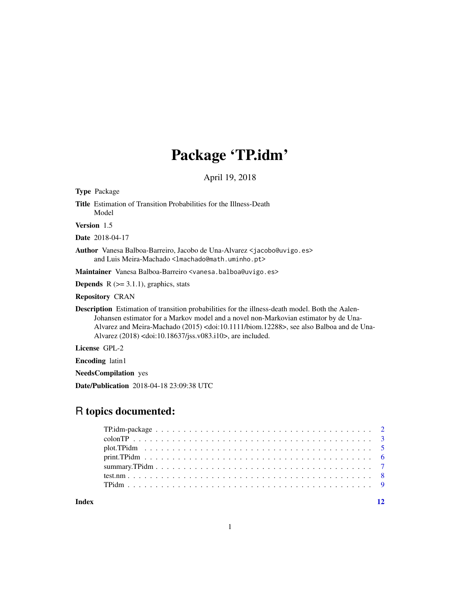# Package 'TP.idm'

April 19, 2018

| <b>Type Package</b>                                                                                                                                                                                                                                                                                                                                                                |
|------------------------------------------------------------------------------------------------------------------------------------------------------------------------------------------------------------------------------------------------------------------------------------------------------------------------------------------------------------------------------------|
| <b>Title</b> Estimation of Transition Probabilities for the Illness-Death<br>Model                                                                                                                                                                                                                                                                                                 |
| <b>Version</b> 1.5                                                                                                                                                                                                                                                                                                                                                                 |
| <b>Date</b> 2018-04-17                                                                                                                                                                                                                                                                                                                                                             |
| Author Vanesa Balboa-Barreiro, Jacobo de Una-Alvarez <jacobo@uvigo.es><br/>and Luis Meira-Machado &lt;1machado@math.uminho.pt&gt;</jacobo@uvigo.es>                                                                                                                                                                                                                                |
| Maintainer Vanesa Balboa-Barreiro <vanesa.balboa@uvigo.es></vanesa.balboa@uvigo.es>                                                                                                                                                                                                                                                                                                |
| <b>Depends</b> $R$ ( $>=$ 3.1.1), graphics, stats                                                                                                                                                                                                                                                                                                                                  |
| <b>Repository CRAN</b>                                                                                                                                                                                                                                                                                                                                                             |
| Description Estimation of transition probabilities for the illness-death model. Both the Aalen-<br>Johansen estimator for a Markov model and a novel non-Markovian estimator by de Una-<br>Alvarez and Meira-Machado (2015) <doi:10.1111 biom.12288="">, see also Balboa and de Una-<br/>Alvarez (2018) <doi:10.18637 jss.v083.i10="">, are included.</doi:10.18637></doi:10.1111> |
| License GPL-2                                                                                                                                                                                                                                                                                                                                                                      |
| <b>Encoding</b> latin1                                                                                                                                                                                                                                                                                                                                                             |
| <b>NeedsCompilation</b> yes                                                                                                                                                                                                                                                                                                                                                        |
| Date/Publication 2018-04-18 23:09:38 UTC                                                                                                                                                                                                                                                                                                                                           |
|                                                                                                                                                                                                                                                                                                                                                                                    |

# R topics documented:

**Index** [12](#page-11-0)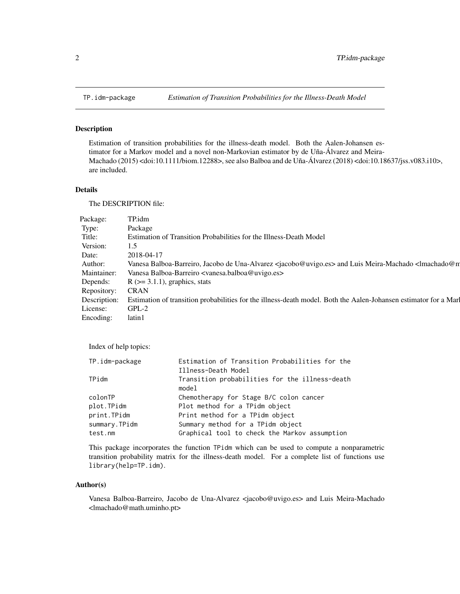<span id="page-1-0"></span>

Estimation of transition probabilities for the illness-death model. Both the Aalen-Johansen estimator for a Markov model and a novel non-Markovian estimator by de Uña-Álvarez and Meira-Machado (2015) <doi:10.1111/biom.12288>, see also Balboa and de Uña-Álvarez (2018) <doi:10.18637/jss.v083.i10>, are included.

# Details

The DESCRIPTION file:

| Package:         | TP.idm                                                                                                                                     |
|------------------|--------------------------------------------------------------------------------------------------------------------------------------------|
| Type:            | Package                                                                                                                                    |
| Title:           | Estimation of Transition Probabilities for the Illness-Death Model                                                                         |
| Version:         | 1.5                                                                                                                                        |
| Date:            | 2018-04-17                                                                                                                                 |
| Author:          | Vanesa Balboa-Barreiro, Jacobo de Una-Alvarez <jacobo@uvigo.es> and Luis Meira-Machado <lmachado@n< td=""></lmachado@n<></jacobo@uvigo.es> |
| Maintainer:      | Vanesa Balboa-Barreiro <vanesa.balboa@uvigo.es></vanesa.balboa@uvigo.es>                                                                   |
| Depends:         | $R$ ( $\geq$ = 3.1.1), graphics, stats                                                                                                     |
| Repository: CRAN |                                                                                                                                            |
|                  | Description: Estimation of transition probabilities for the illness-death model. Both the Aalen-Johansen estimator for a Mar               |
| License:         | $GPL-2$                                                                                                                                    |
| Encoding:        | latin1                                                                                                                                     |

Index of help topics:

| TP.idm-package | Estimation of Transition Probabilities for the          |
|----------------|---------------------------------------------------------|
|                | Illness-Death Model                                     |
| TPidm          | Transition probabilities for the illness-death<br>model |
| colonTP        | Chemotherapy for Stage B/C colon cancer                 |
| plot.TPidm     | Plot method for a TPidm object                          |
| print.TPidm    | Print method for a TPidm object                         |
| summary.TPidm  | Summary method for a TPidm object                       |
| test.nm        | Graphical tool to check the Markov assumption           |

This package incorporates the function TPidm which can be used to compute a nonparametric transition probability matrix for the illness-death model. For a complete list of functions use library(help=TP.idm).

# Author(s)

Vanesa Balboa-Barreiro, Jacobo de Una-Alvarez <jacobo@uvigo.es> and Luis Meira-Machado <lmachado@math.uminho.pt>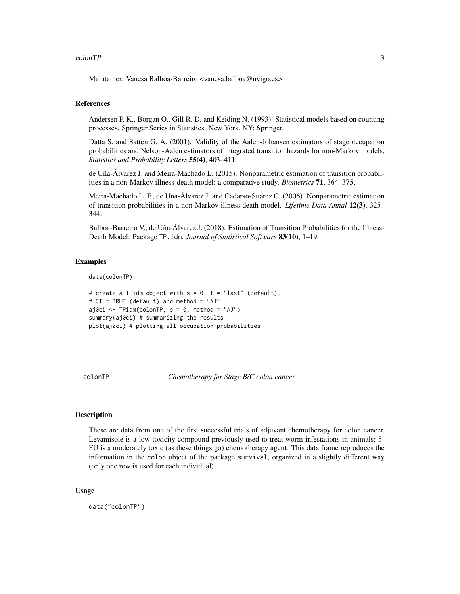#### <span id="page-2-0"></span>colonTP 3

Maintainer: Vanesa Balboa-Barreiro <vanesa.balboa@uvigo.es>

# References

Andersen P. K., Borgan O., Gill R. D. and Keiding N. (1993). Statistical models based on counting processes. Springer Series in Statistics. New York, NY: Springer.

Datta S. and Satten G. A. (2001). Validity of the Aalen-Johansen estimators of stage occupation probabilities and Nelson-Aalen estimators of integrated transition hazards for non-Markov models. *Statistics and Probability Letters* 55(4), 403–411.

de Uña-Álvarez J. and Meira-Machado L. (2015). Nonparametric estimation of transition probabilities in a non-Markov illness-death model: a comparative study. *Biometrics* 71, 364–375.

Meira-Machado L. F., de Uña-Álvarez J. and Cadarso-Suárez C. (2006). Nonparametric estimation of transition probabilities in a non-Markov illness-death model. *Lifetime Data Annal* 12(3), 325– 344.

Balboa-Barreiro V., de Uña-Álvarez J. (2018). Estimation of Transition Probabilities for the Illness-Death Model: Package TP.idm. *Journal of Statistical Software* 83(10), 1–19.

# Examples

data(colonTP)

```
# create a TPidm object with s = 0, t = "last" (default),
# CI = TRUE (default) and method = "AJ":
aj0ci <- TPidm(colonTP, s = 0, method = "AJ")
summary(aj0ci) # summarizing the results
plot(aj0ci) # plotting all occupation probabilities
```
colonTP *Chemotherapy for Stage B/C colon cancer*

# Description

These are data from one of the first successful trials of adjuvant chemotherapy for colon cancer. Levamisole is a low-toxicity compound previously used to treat worm infestations in animals; 5- FU is a moderately toxic (as these things go) chemotherapy agent. This data frame reproduces the information in the colon object of the package survival, organized in a slightly different way (only one row is used for each individual).

# Usage

data("colonTP")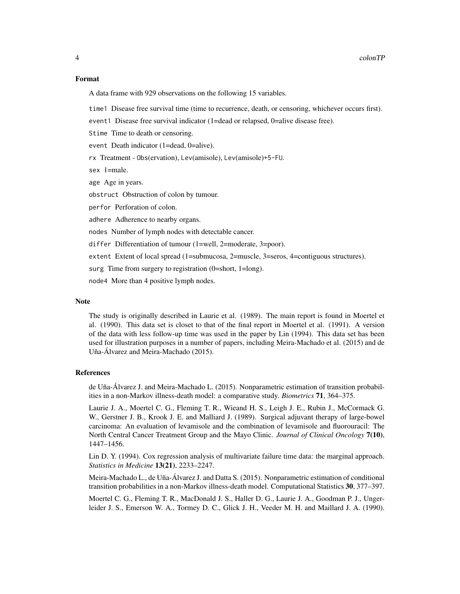# Format

A data frame with 929 observations on the following 15 variables.

time1 Disease free survival time (time to recurrence, death, or censoring, whichever occurs first).

event1 Disease free survival indicator (1=dead or relapsed, 0=alive disease free).

Stime Time to death or censoring.

event Death indicator (1=dead, 0=alive).

rx Treatment - Obs(ervation), Lev(amisole), Lev(amisole)+5-FU.

sex 1=male.

age Age in years.

obstruct Obstruction of colon by tumour.

perfor Perforation of colon.

adhere Adherence to nearby organs.

nodes Number of lymph nodes with detectable cancer.

differ Differentiation of tumour (1=well, 2=moderate, 3=poor).

extent Extent of local spread (1=submucosa, 2=muscle, 3=seros, 4=contiguous structures).

surg Time from surgery to registration (0=short, 1=long).

node4 More than 4 positive lymph nodes.

# Note

The study is originally described in Laurie et al. (1989). The main report is found in Moertel et al. (1990). This data set is closet to that of the final report in Moertel et al. (1991). A version of the data with less follow-up time was used in the paper by Lin (1994). This data set has been used for illustration purposes in a number of papers, including Meira-Machado et al. (2015) and de Uña-Álvarez and Meira-Machado (2015).

#### References

de Uña-Álvarez J. and Meira-Machado L. (2015). Nonparametric estimation of transition probabilities in a non-Markov illness-death model: a comparative study. *Biometrics* 71, 364–375.

Laurie J. A., Moertel C. G., Fleming T. R., Wieand H. S., Leigh J. E., Rubin J., McCormack G. W., Gerstner J. B., Krook J. E. and Malliard J. (1989). Surgical adjuvant therapy of large-bowel carcinoma: An evaluation of levamisole and the combination of levamisole and fluorouracil: The North Central Cancer Treatment Group and the Mayo Clinic. *Journal of Clinical Oncology* 7(10), 1447–1456.

Lin D. Y. (1994). Cox regression analysis of multivariate failure time data: the marginal approach. *Statistics in Medicine* 13(21), 2233–2247.

Meira-Machado L., de Uña-Álvarez J. and Datta S. (2015). Nonparametric estimation of conditional transition probabilities in a non-Markov illness-death model. Computational Statistics 30, 377–397.

Moertel C. G., Fleming T. R., MacDonald J. S., Haller D. G., Laurie J. A., Goodman P. J., Ungerleider J. S., Emerson W. A., Tormey D. C., Glick J. H., Veeder M. H. and Maillard J. A. (1990).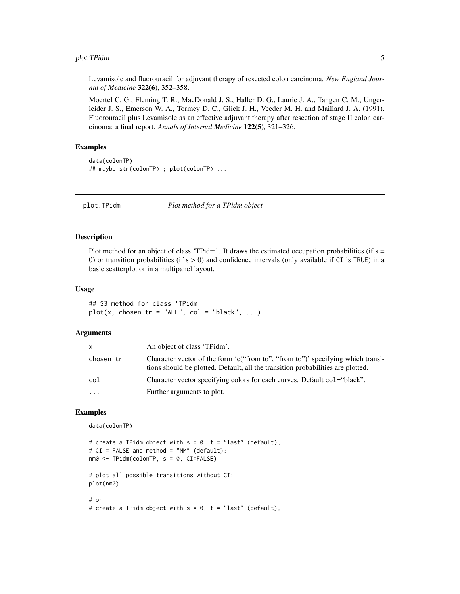# <span id="page-4-0"></span>plot. TPidm 5

Levamisole and fluorouracil for adjuvant therapy of resected colon carcinoma. *New England Journal of Medicine* 322(6), 352–358.

Moertel C. G., Fleming T. R., MacDonald J. S., Haller D. G., Laurie J. A., Tangen C. M., Ungerleider J. S., Emerson W. A., Tormey D. C., Glick J. H., Veeder M. H. and Maillard J. A. (1991). Fluorouracil plus Levamisole as an effective adjuvant therapy after resection of stage II colon carcinoma: a final report. *Annals of Internal Medicine* 122(5), 321–326.

# Examples

data(colonTP) ## maybe str(colonTP) ; plot(colonTP) ...

plot.TPidm *Plot method for a TPidm object*

# Description

Plot method for an object of class 'TPidm'. It draws the estimated occupation probabilities (if  $s =$ 0) or transition probabilities (if  $s > 0$ ) and confidence intervals (only available if CI is TRUE) in a basic scatterplot or in a multipanel layout.

#### Usage

```
## S3 method for class 'TPidm'
plot(x, chosen.tr = "ALL", col = "black", ...)
```
# Arguments

| x         | An object of class 'TPidm'.                                                                                                                                        |
|-----------|--------------------------------------------------------------------------------------------------------------------------------------------------------------------|
| chosen.tr | Character vector of the form 'c("from to", "from to")' specifying which transi-<br>tions should be plotted. Default, all the transition probabilities are plotted. |
| col       | Character vector specifying colors for each curves. Default col="black".                                                                                           |
| .         | Further arguments to plot.                                                                                                                                         |

# Examples

data(colonTP)

```
# create a TPidm object with s = 0, t = "last" (default),
# CI = FALSE and method = "NM" (default):
nm0 <- TPidm(colonTP, s = 0, CI=FALSE)
# plot all possible transitions without CI:
plot(nm0)
# or
# create a TPidm object with s = 0, t = "last" (default),
```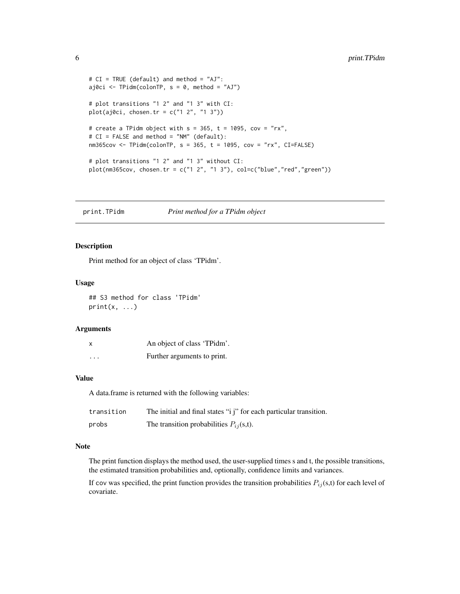```
# CI = TRUE (default) and method = "AJ":
aj0ci <- TPidm(colonTP, s = 0, method = "AJ")
# plot transitions "1 2" and "1 3" with CI:
plot(aj0ci, chosen.tr = c("1 2", "1 3"))# create a TPidm object with s = 365, t = 1095, cov = "rx",
# CI = FALSE and method = "NM" (default):
nm365cov \leq TPidm(colonTP, s = 365, t = 1095, cov = "rx", CI=FALSE)# plot transitions "1 2" and "1 3" without CI:
plot(mm365cov, chosen.tr = c("1 2", "1 3"), col=c("blue", "red", "green"))
```
print.TPidm *Print method for a TPidm object*

# Description

Print method for an object of class 'TPidm'.

#### Usage

## S3 method for class 'TPidm'  $print(x, \ldots)$ 

#### Arguments

| X        | An object of class 'TPidm'. |
|----------|-----------------------------|
| $\cdots$ | Further arguments to print. |

#### Value

A data.frame is returned with the following variables:

| transition | The initial and final states "i j" for each particular transition. |
|------------|--------------------------------------------------------------------|
| probs      | The transition probabilities $P_{ij}(s,t)$ .                       |

# Note

The print function displays the method used, the user-supplied times s and t, the possible transitions, the estimated transition probabilities and, optionally, confidence limits and variances.

If cov was specified, the print function provides the transition probabilities  $P_{ij}(s,t)$  for each level of covariate.

<span id="page-5-0"></span>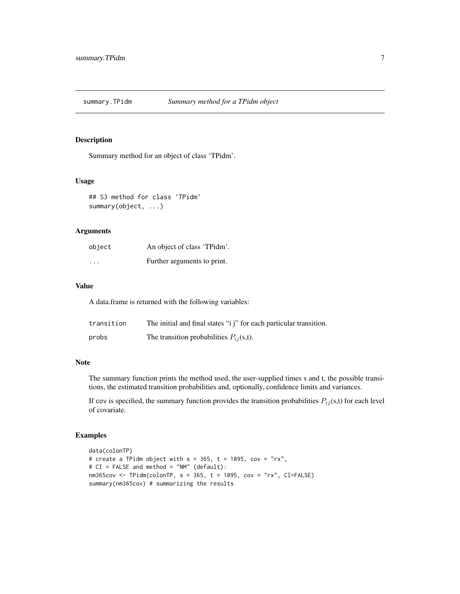<span id="page-6-0"></span>

Summary method for an object of class 'TPidm'.

# Usage

## S3 method for class 'TPidm' summary(object, ...)

# Arguments

| object   | An object of class 'TPidm'. |
|----------|-----------------------------|
| $\cdots$ | Further arguments to print. |

# Value

A data.frame is returned with the following variables:

| transition | The initial and final states "i j" for each particular transition. |
|------------|--------------------------------------------------------------------|
| probs      | The transition probabilities $P_{ij}(s,t)$ .                       |

# Note

The summary function prints the method used, the user-supplied times s and t, the possible transitions, the estimated transition probabilities and, optionally, confidence limits and variances.

If cov is specified, the summary function provides the transition probabilities  $P_{ij}(s,t)$  for each level of covariate.

## Examples

```
data(colonTP)
# create a TPidm object with s = 365, t = 1095, cov = "rx",
# CI = FALSE and method = "NM" (default):
nm365cov \leq TPidm(colonTP, s = 365, t = 1095, cov = "rx", CI=FALSE)summary(nm365cov) # summarizing the results
```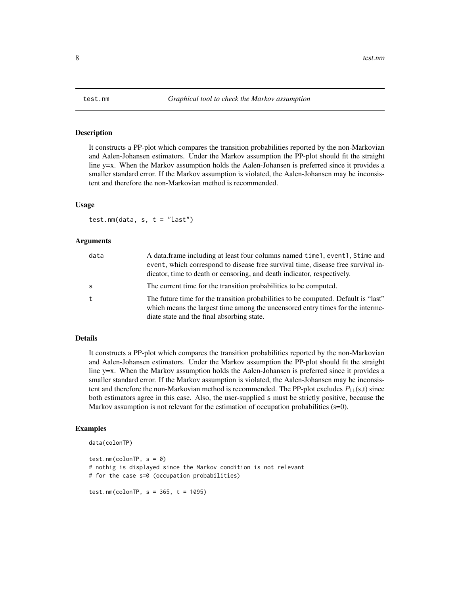<span id="page-7-0"></span>

It constructs a PP-plot which compares the transition probabilities reported by the non-Markovian and Aalen-Johansen estimators. Under the Markov assumption the PP-plot should fit the straight line y=x. When the Markov assumption holds the Aalen-Johansen is preferred since it provides a smaller standard error. If the Markov assumption is violated, the Aalen-Johansen may be inconsistent and therefore the non-Markovian method is recommended.

#### Usage

test.nm(data,  $s, t = "last")$ 

# Arguments

| data | A data.frame including at least four columns named time 1, event 1, Stime and<br>event, which correspond to disease free survival time, disease free survival in-<br>dicator, time to death or censoring, and death indicator, respectively. |
|------|----------------------------------------------------------------------------------------------------------------------------------------------------------------------------------------------------------------------------------------------|
| -S   | The current time for the transition probabilities to be computed.                                                                                                                                                                            |
| t    | The future time for the transition probabilities to be computed. Default is "last"<br>which means the largest time among the uncensored entry times for the interme-<br>diate state and the final absorbing state.                           |

# Details

It constructs a PP-plot which compares the transition probabilities reported by the non-Markovian and Aalen-Johansen estimators. Under the Markov assumption the PP-plot should fit the straight line y=x. When the Markov assumption holds the Aalen-Johansen is preferred since it provides a smaller standard error. If the Markov assumption is violated, the Aalen-Johansen may be inconsistent and therefore the non-Markovian method is recommended. The PP-plot excludes  $P_{11}(s,t)$  since both estimators agree in this case. Also, the user-supplied s must be strictly positive, because the Markov assumption is not relevant for the estimation of occupation probabilities (s=0).

# Examples

data(colonTP)

test.nm(colonTP,  $s = 0$ ) # nothig is displayed since the Markov condition is not relevant # for the case s=0 (occupation probabilities)

test.nm(colonTP,  $s = 365$ ,  $t = 1095$ )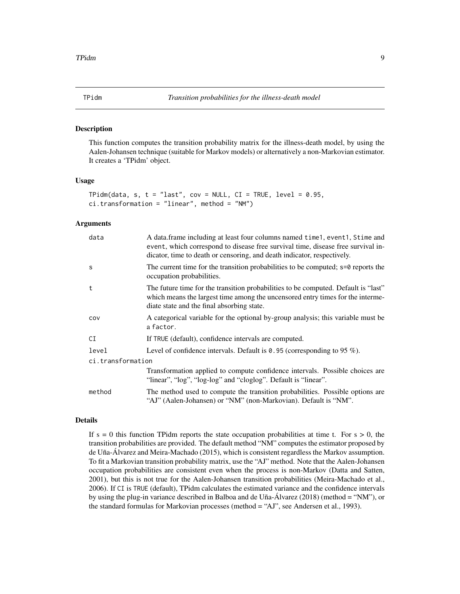<span id="page-8-0"></span>

This function computes the transition probability matrix for the illness-death model, by using the Aalen-Johansen technique (suitable for Markov models) or alternatively a non-Markovian estimator. It creates a 'TPidm' object.

#### Usage

```
TPidm(data, s, t = "last", cov = NULL, CI = TRUE, level = 0.95,
ci.transformation = "linear", method = "NM")
```
# Arguments

| data              | A data.frame including at least four columns named time 1, event 1, Stime and<br>event, which correspond to disease free survival time, disease free survival in-<br>dicator, time to death or censoring, and death indicator, respectively. |  |
|-------------------|----------------------------------------------------------------------------------------------------------------------------------------------------------------------------------------------------------------------------------------------|--|
| S                 | The current time for the transition probabilities to be computed; $s=0$ reports the<br>occupation probabilities.                                                                                                                             |  |
| t                 | The future time for the transition probabilities to be computed. Default is "last"<br>which means the largest time among the uncensored entry times for the interme-<br>diate state and the final absorbing state.                           |  |
| COV               | A categorical variable for the optional by-group analysis; this variable must be<br>a factor.                                                                                                                                                |  |
| СI                | If TRUE (default), confidence intervals are computed.                                                                                                                                                                                        |  |
| level             | Level of confidence intervals. Default is $\theta$ . 95 (corresponding to 95 %).                                                                                                                                                             |  |
| ci.transformation |                                                                                                                                                                                                                                              |  |
|                   | Transformation applied to compute confidence intervals. Possible choices are<br>"linear", "log", "log-log" and "cloglog". Default is "linear".                                                                                               |  |
| method            | The method used to compute the transition probabilities. Possible options are<br>"AJ" (Aalen-Johansen) or "NM" (non-Markovian). Default is "NM".                                                                                             |  |

# Details

If  $s = 0$  this function TPidm reports the state occupation probabilities at time t. For  $s > 0$ , the transition probabilities are provided. The default method "NM" computes the estimator proposed by de Uña-Álvarez and Meira-Machado (2015), which is consistent regardless the Markov assumption. To fit a Markovian transition probability matrix, use the "AJ" method. Note that the Aalen-Johansen occupation probabilities are consistent even when the process is non-Markov (Datta and Satten, 2001), but this is not true for the Aalen-Johansen transition probabilities (Meira-Machado et al., 2006). If CI is TRUE (default), TPidm calculates the estimated variance and the confidence intervals by using the plug-in variance described in Balboa and de Uña-Álvarez (2018) (method = "NM"), or the standard formulas for Markovian processes (method = "AJ", see Andersen et al., 1993).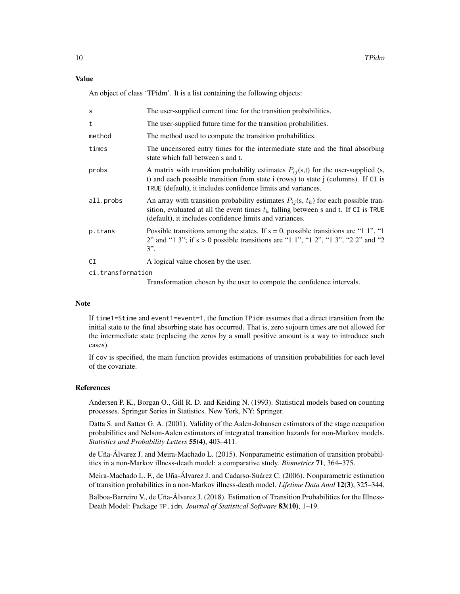# Value

An object of class 'TPidm'. It is a list containing the following objects:

| S                 | The user-supplied current time for the transition probabilities.                                                                                                                                                                             |  |
|-------------------|----------------------------------------------------------------------------------------------------------------------------------------------------------------------------------------------------------------------------------------------|--|
| t                 | The user-supplied future time for the transition probabilities.                                                                                                                                                                              |  |
| method            | The method used to compute the transition probabilities.                                                                                                                                                                                     |  |
| times             | The uncensored entry times for the intermediate state and the final absorbing<br>state which fall between s and t.                                                                                                                           |  |
| probs             | A matrix with transition probability estimates $P_{ij}(s,t)$ for the user-supplied (s,<br>t) and each possible transition from state i (rows) to state j (columns). If CI is<br>TRUE (default), it includes confidence limits and variances. |  |
| all.probs         | An array with transition probability estimates $P_{ij}(s, t_k)$ for each possible tran-<br>sition, evaluated at all the event times $t_k$ falling between s and t. If CI is TRUE<br>(default), it includes confidence limits and variances.  |  |
| p.trans           | Possible transitions among the states. If $s = 0$ , possible transitions are "1 1", "1<br>2" and "1 3"; if $s > 0$ possible transitions are "1 1", "1 2", "1 3", "2 2" and "2<br>$3$ ".                                                      |  |
| CI                | A logical value chosen by the user.                                                                                                                                                                                                          |  |
| ci.transformation |                                                                                                                                                                                                                                              |  |

Transformation chosen by the user to compute the confidence intervals.

#### **Note**

If time1=Stime and event1=event=1, the function TPidm assumes that a direct transition from the initial state to the final absorbing state has occurred. That is, zero sojourn times are not allowed for the intermediate state (replacing the zeros by a small positive amount is a way to introduce such cases).

If cov is specified, the main function provides estimations of transition probabilities for each level of the covariate.

### References

Andersen P. K., Borgan O., Gill R. D. and Keiding N. (1993). Statistical models based on counting processes. Springer Series in Statistics. New York, NY: Springer.

Datta S. and Satten G. A. (2001). Validity of the Aalen-Johansen estimators of the stage occupation probabilities and Nelson-Aalen estimators of integrated transition hazards for non-Markov models. *Statistics and Probability Letters* 55(4), 403–411.

de Uña-Álvarez J. and Meira-Machado L. (2015). Nonparametric estimation of transition probabilities in a non-Markov illness-death model: a comparative study. *Biometrics* 71, 364–375.

Meira-Machado L. F., de Uña-Álvarez J. and Cadarso-Suárez C. (2006). Nonparametric estimation of transition probabilities in a non-Markov illness-death model. *Lifetime Data Anal* 12(3), 325–344.

Balboa-Barreiro V., de Uña-Álvarez J. (2018). Estimation of Transition Probabilities for the Illness-Death Model: Package TP.idm. *Journal of Statistical Software* 83(10), 1–19.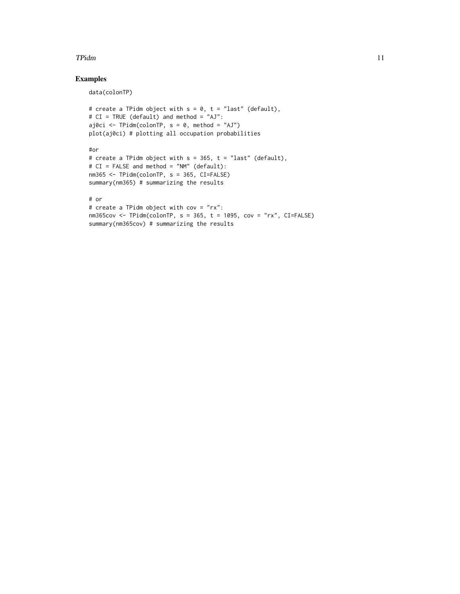#### **TPidm** 11

# Examples

data(colonTP)

```
# create a TPidm object with s = 0, t = "last" (default),
# CI = TRUE (default) and method = "AJ":
aj0ci <- TPidm(colonTP, s = 0, method = "AJ")
plot(aj0ci) # plotting all occupation probabilities
#or
# create a TPidm object with s = 365, t = "last" (default),
# CI = FALSE and method = "NM" (default):
nm365 <- TPidm(colonTP, s = 365, CI=FALSE)
summary(nm365) # summarizing the results
# or
# create a TPidm object with cov = "rx":
nm365cov <- TPidm(colonTP, s = 365, t = 1095, cov = "rx", CI=FALSE)
summary(nm365cov) # summarizing the results
```